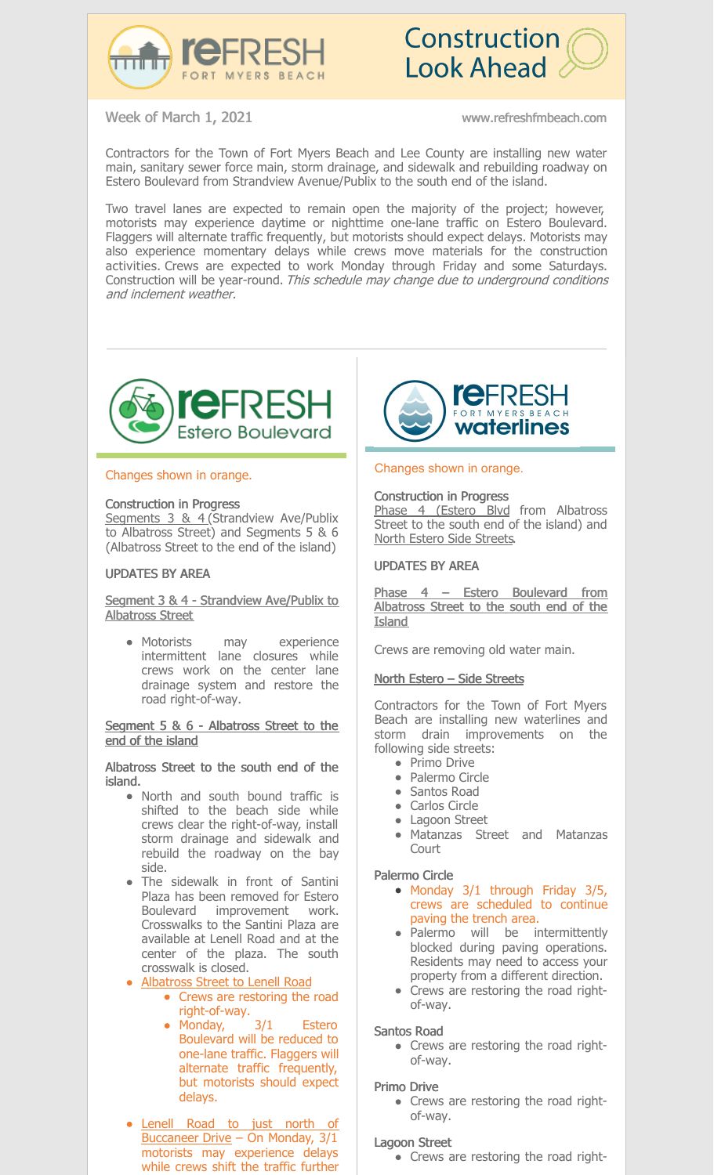



Week of March 1, 2021 www.refreshfmbeach.com

Contractors for the Town of Fort Myers Beach and Lee County are installing new water main, sanitary sewer force main, storm drainage, and sidewalk and rebuilding roadway on Estero Boulevard from Strandview Avenue/Publix to the south end of the island.

Two travel lanes are expected to remain open the majority of the project; however, motorists may experience daytime or nighttime one-lane traffic on Estero Boulevard. Flaggers will alternate traffic frequently, but motorists should expect delays. Motorists may also experience momentary delays while crews move materials for the construction activities. Crews are expected to work Monday through Friday and some Saturdays. Construction will be year-round. This schedule may change due to underground conditions and inclement weather.



# Changes shown in orange.

## Construction in Progress

Segments 3 & 4 (Strandview Ave/Publix to Albatross Street) and Segments 5 & 6 (Albatross Street to the end of the island)

## UPDATES BY AREA

# Segment 3 & 4 - Strandview Ave/Publix to Albatross Street

Motorists may experience intermittent lane closures while crews work on the center lane drainage system and restore the road right-of-way.

## Segment 5 & 6 - Albatross Street to the end of the island

## Albatross Street to the south end of the island.

- North and south bound traffic is shifted to the beach side while crews clear the right-of-way, install storm drainage and sidewalk and rebuild the roadway on the bay side.
- The sidewalk in front of Santini Plaza has been removed for Estero Boulevard improvement work. Crosswalks to the Santini Plaza are available at Lenell Road and at the center of the plaza. The south crosswalk is closed.
- Albatross Street to Lenell Road
	- Crews are restoring the road right-of-way.
		- Monday, 3/1 Estero Boulevard will be reduced to one-lane traffic. Flaggers will alternate traffic frequently, but motorists should expect delays.
- Lenell Road to just north of Buccaneer Drive - On Monday, 3/1 motorists may experience delays while crews shift the traffic further



## Changes shown in orange.

Construction in Progress Phase 4 (Estero Blvd from Albatross Street to the south end of the island) and North Estero Side Streets.

# UPDATES BY AREA

Phase 4 – Estero Boulevard from Albatross Street to the south end of the Island

Crews are removing old water main.

# North Estero – Side Streets

Contractors for the Town of Fort Myers Beach are installing new waterlines and storm drain improvements on the following side streets:

- Primo Drive
- Palermo Circle
- Santos Road
- Carlos Circle
- Lagoon Street
- Matanzas Street and Matanzas Court

# Palermo Circle

- $\bullet$  Monday 3/1 through Friday 3/5, crews are scheduled to continue paving the trench area.
- Palermo will be intermittently blocked during paving operations. Residents may need to access your property from a different direction.
- Crews are restoring the road rightof-way.

# Santos Road

• Crews are restoring the road rightof-way.

# Primo Drive

• Crews are restoring the road rightof-way.

# Lagoon Street

• Crews are restoring the road right-